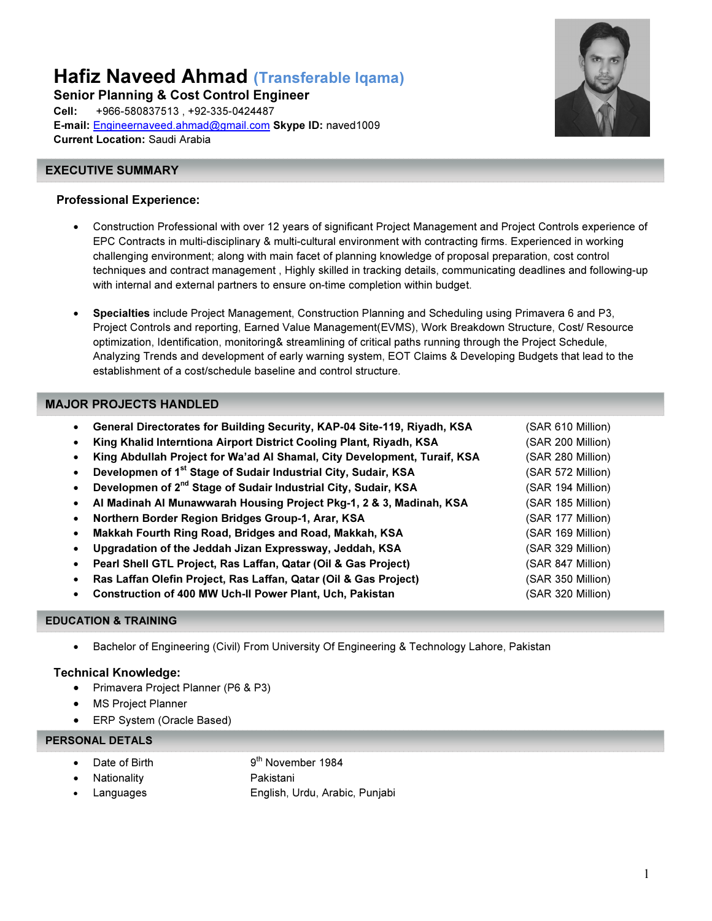Hafiz Naveed Ahmad (Transferable Iqama)

Senior Planning & Cost Control Engineer Cell: +966-580837513 , +92-335-0424487 E-mail: Engineernaveed.ahmad@gmail.com Skype ID: naved1009 Current Location: Saudi Arabia

#### í EXECUTIVE SUMMARY

### Professional Experience:

- Construction Professional with over 12 years of significant Project Management and Project Controls experience of EPC Contracts in multi-disciplinary & multi-cultural environment with contracting firms. Experienced in working challenging environment; along with main facet of planning knowledge of proposal preparation, cost control techniques and contract management , Highly skilled in tracking details, communicating deadlines and following-up with internal and external partners to ensure on-time completion within budget.
- Specialties include Project Management, Construction Planning and Scheduling using Primavera 6 and P3, Project Controls and reporting, Earned Value Management(EVMS), Work Breakdown Structure, Cost/ Resource optimization, Identification, monitoring& streamlining of critical paths running through the Project Schedule, Analyzing Trends and development of early warning system, EOT Claims & Developing Budgets that lead to the establishment of a cost/schedule baseline and control structure.

# MAJOR PROJECTS HANDLED

- General Directorates for Building Security, KAP-04 Site-119, Riyadh, KSA (SAR 610 Million)
- King Khalid Interntiona Airport District Cooling Plant, Riyadh, KSA (SAR 200 Million)
- King Abdullah Project for Wa'ad Al Shamal, City Development, Turaif, KSA (SAR 280 Million)
- **Developmen of 1<sup>st</sup> Stage of Sudair Industrial City, Sudair, KSA** (SAR 572 Million)
- **Developmen of 2<sup>nd</sup> Stage of Sudair Industrial City, Sudair, KSA** (SAR 194 Million)
- AI Madinah AI Munawwarah Housing Project Pkg-1, 2 & 3, Madinah, KSA (SAR 185 Million)
- **Northern Border Region Bridges Group-1, Arar, KSA (SAR 177 Million)**
- Makkah Fourth Ring Road, Bridges and Road, Makkah, KSA (SAR 169 Million)
- Upgradation of the Jeddah Jizan Expressway, Jeddah, KSA (SAR 329 Million)
- Pearl Shell GTL Project, Ras Laffan, Qatar (Oil & Gas Project) (SAR 847 Million)
- Ras Laffan Olefin Project, Ras Laffan, Qatar (Oil & Gas Project) (SAR 350 Million)
- Construction of 400 MW Uch-II Power Plant, Uch, Pakistan (SAR 320 Million)

#### EDUCATION & TRAINING

• Bachelor of Engineering (Civil) From University Of Engineering & Technology Lahore, Pakistan

# Technical Knowledge:

- Primavera Project Planner (P6 & P3)
- **MS Project Planner**
- ERP System (Oracle Based)

# PERSONAL DETALS

- **Date of Birth 9th November 1984**
- Nationality **Pakistani**
- Languages English, Urdu, Arabic, Punjabi

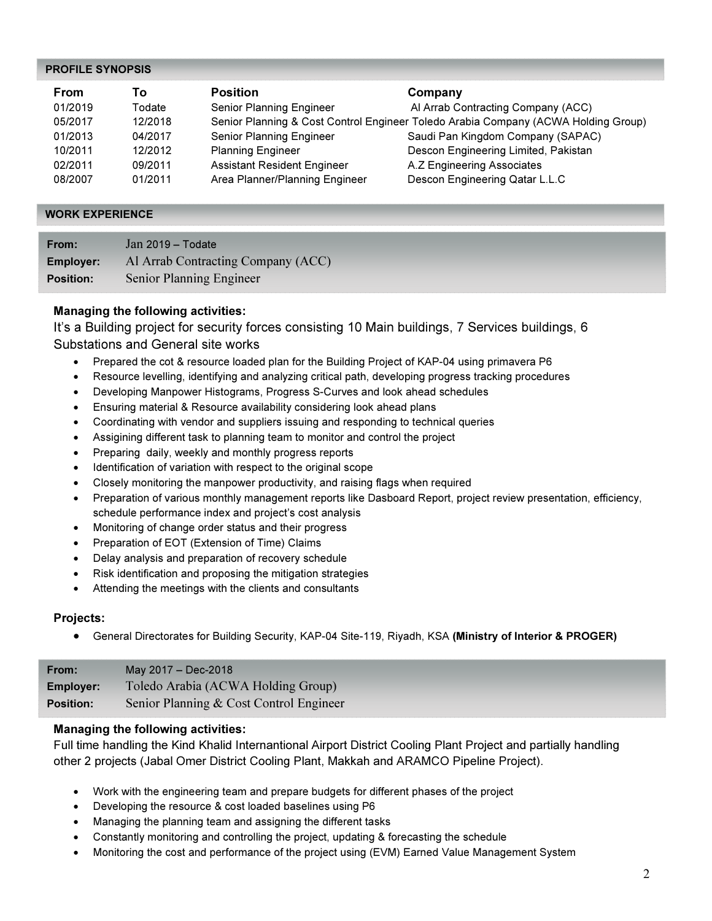### PROFILE SYNOPSIS

| From    | Τo      | <b>Position</b>                    | Company                                                                            |
|---------|---------|------------------------------------|------------------------------------------------------------------------------------|
| 01/2019 | Todate  | Senior Planning Engineer           | Al Arrab Contracting Company (ACC)                                                 |
| 05/2017 | 12/2018 |                                    | Senior Planning & Cost Control Engineer Toledo Arabia Company (ACWA Holding Group) |
| 01/2013 | 04/2017 | Senior Planning Engineer           | Saudi Pan Kingdom Company (SAPAC)                                                  |
| 10/2011 | 12/2012 | <b>Planning Engineer</b>           | Descon Engineering Limited, Pakistan                                               |
| 02/2011 | 09/2011 | <b>Assistant Resident Engineer</b> | A.Z Engineering Associates                                                         |
| 08/2007 | 01/2011 | Area Planner/Planning Engineer     | Descon Engineering Qatar L.L.C                                                     |

#### WORK EXPERIENCE

| From:            | Jan 2019 - Todate                  |
|------------------|------------------------------------|
| <b>Employer:</b> | Al Arrab Contracting Company (ACC) |
| <b>Position:</b> | Senior Planning Engineer           |

# Managing the following activities:

It's a Building project for security forces consisting 10 Main buildings, 7 Services buildings, 6 Substations and General site works

- Prepared the cot & resource loaded plan for the Building Project of KAP-04 using primavera P6
- Resource levelling, identifying and analyzing critical path, developing progress tracking procedures
- Developing Manpower Histograms, Progress S-Curves and look ahead schedules
- Ensuring material & Resource availability considering look ahead plans
- Coordinating with vendor and suppliers issuing and responding to technical queries
- Assigining different task to planning team to monitor and control the project
- Preparing daily, weekly and monthly progress reports
- Identification of variation with respect to the original scope
- Closely monitoring the manpower productivity, and raising flags when required
- Preparation of various monthly management reports like Dasboard Report, project review presentation, efficiency, schedule performance index and project's cost analysis
- Monitoring of change order status and their progress
- Preparation of EOT (Extension of Time) Claims
- Delay analysis and preparation of recovery schedule
- Risk identification and proposing the mitigation strategies
- Attending the meetings with the clients and consultants

#### Projects:

• General Directorates for Building Security, KAP-04 Site-119, Riyadh, KSA (Ministry of Interior & PROGER)

| From:            | May 2017 - Dec-2018                     |
|------------------|-----------------------------------------|
| <b>Employer:</b> | Toledo Arabia (ACWA Holding Group)      |
| <b>Position:</b> | Senior Planning & Cost Control Engineer |

## Managing the following activities:

Full time handling the Kind Khalid Internantional Airport District Cooling Plant Project and partially handling other 2 projects (Jabal Omer District Cooling Plant, Makkah and ARAMCO Pipeline Project).

- Work with the engineering team and prepare budgets for different phases of the project
- Developing the resource & cost loaded baselines using P6
- Managing the planning team and assigning the different tasks
- Constantly monitoring and controlling the project, updating & forecasting the schedule
- Monitoring the cost and performance of the project using (EVM) Earned Value Management System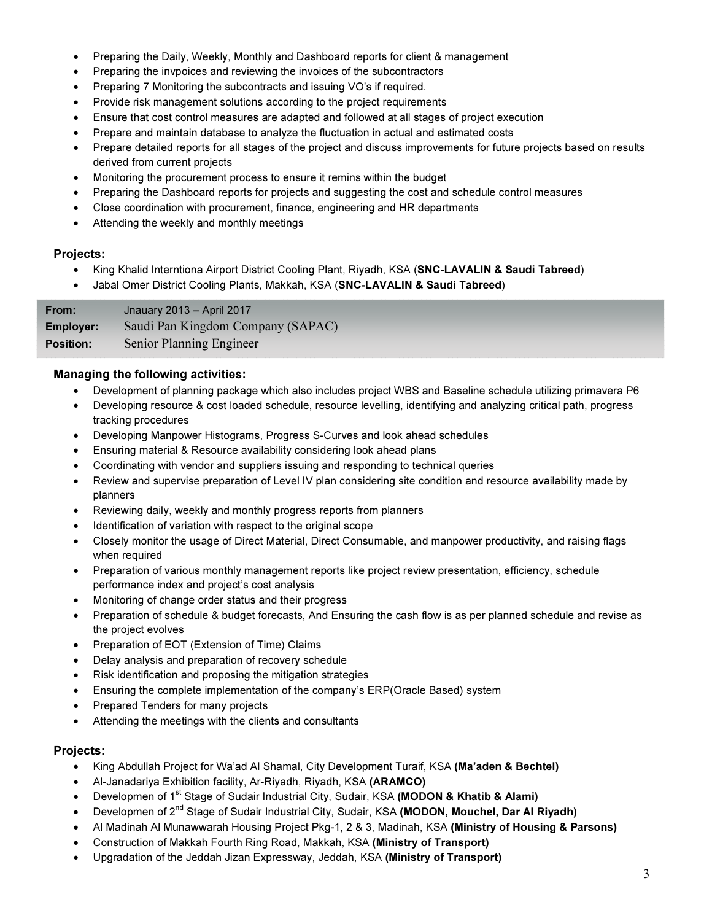- Preparing the Daily, Weekly, Monthly and Dashboard reports for client & management
- Preparing the invpoices and reviewing the invoices of the subcontractors
- Preparing 7 Monitoring the subcontracts and issuing VO's if required.
- Provide risk management solutions according to the project requirements
- Ensure that cost control measures are adapted and followed at all stages of project execution
- Prepare and maintain database to analyze the fluctuation in actual and estimated costs
- Prepare detailed reports for all stages of the project and discuss improvements for future projects based on results derived from current projects
- Monitoring the procurement process to ensure it remins within the budget
- Preparing the Dashboard reports for projects and suggesting the cost and schedule control measures
- Close coordination with procurement, finance, engineering and HR departments
- Attending the weekly and monthly meetings

## Projects:

- King Khalid Interntiona Airport District Cooling Plant, Riyadh, KSA (SNC-LAVALIN & Saudi Tabreed)
- Jabal Omer District Cooling Plants, Makkah, KSA (SNC-LAVALIN & Saudi Tabreed)

From: Jnauary 2013 – April 2017 Employer: Saudi Pan Kingdom Company (SAPAC) Position: Senior Planning Engineer

# Managing the following activities:

- Development of planning package which also includes project WBS and Baseline schedule utilizing primavera P6
- Developing resource & cost loaded schedule, resource levelling, identifying and analyzing critical path, progress tracking procedures
- Developing Manpower Histograms, Progress S-Curves and look ahead schedules
- Ensuring material & Resource availability considering look ahead plans
- Coordinating with vendor and suppliers issuing and responding to technical queries
- Review and supervise preparation of Level IV plan considering site condition and resource availability made by planners
- Reviewing daily, weekly and monthly progress reports from planners
- Identification of variation with respect to the original scope
- Closely monitor the usage of Direct Material, Direct Consumable, and manpower productivity, and raising flags when required
- Preparation of various monthly management reports like project review presentation, efficiency, schedule performance index and project's cost analysis
- Monitoring of change order status and their progress
- Preparation of schedule & budget forecasts, And Ensuring the cash flow is as per planned schedule and revise as the project evolves
- Preparation of EOT (Extension of Time) Claims
- Delay analysis and preparation of recovery schedule
- Risk identification and proposing the mitigation strategies
- Ensuring the complete implementation of the company's ERP(Oracle Based) system
- Prepared Tenders for many projects
- Attending the meetings with the clients and consultants

# Projects:

- King Abdullah Project for Wa'ad Al Shamal, City Development Turaif, KSA (Ma'aden & Bechtel)
- Al-Janadariya Exhibition facility, Ar-Riyadh, Riyadh, KSA (ARAMCO)
- Developmen of 1<sup>st</sup> Stage of Sudair Industrial City, Sudair, KSA (MODON & Khatib & Alami)
- Developmen of 2<sup>nd</sup> Stage of Sudair Industrial City, Sudair, KSA (MODON, Mouchel, Dar Al Riyadh)
- Al Madinah Al Munawwarah Housing Project Pkg-1, 2 & 3, Madinah, KSA (Ministry of Housing & Parsons)
- Construction of Makkah Fourth Ring Road, Makkah, KSA (Ministry of Transport)
- Upgradation of the Jeddah Jizan Expressway, Jeddah, KSA (Ministry of Transport)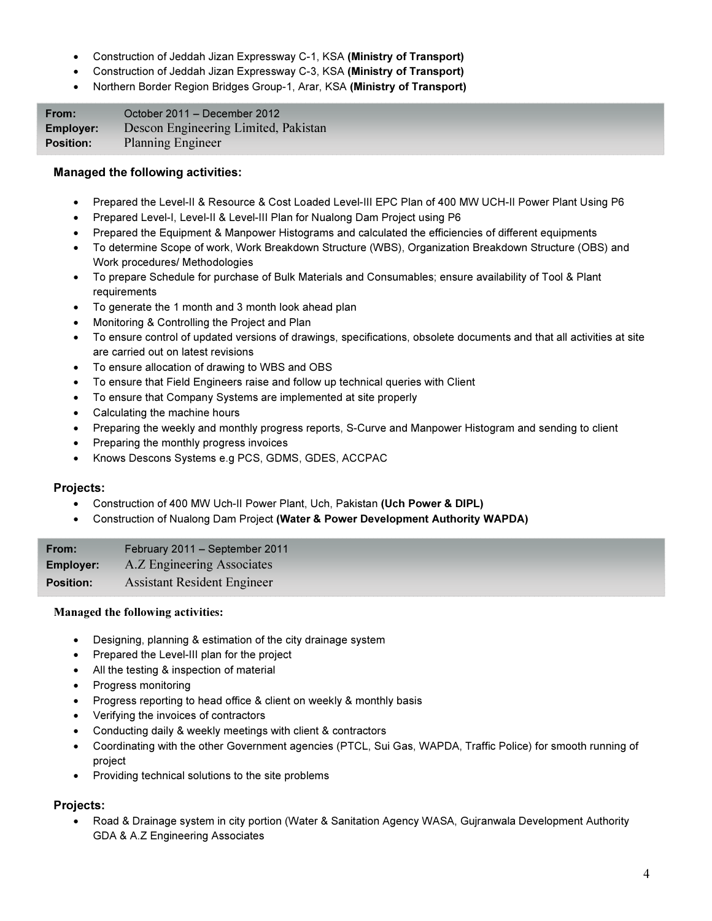- Construction of Jeddah Jizan Expressway C-1, KSA (Ministry of Transport)
- Construction of Jeddah Jizan Expressway C-3, KSA (Ministry of Transport)
- Northern Border Region Bridges Group-1, Arar, KSA (Ministry of Transport)

| From:            | October 2011 – December 2012         |
|------------------|--------------------------------------|
| <b>Employer:</b> | Descon Engineering Limited, Pakistan |
| <b>Position:</b> | <b>Planning Engineer</b>             |

## Managed the following activities:

- Prepared the Level-II & Resource & Cost Loaded Level-III EPC Plan of 400 MW UCH-II Power Plant Using P6
- Prepared Level-I, Level-II & Level-III Plan for Nualong Dam Project using P6
- Prepared the Equipment & Manpower Histograms and calculated the efficiencies of different equipments
- To determine Scope of work, Work Breakdown Structure (WBS), Organization Breakdown Structure (OBS) and Work procedures/ Methodologies
- To prepare Schedule for purchase of Bulk Materials and Consumables; ensure availability of Tool & Plant requirements
- To generate the 1 month and 3 month look ahead plan
- Monitoring & Controlling the Project and Plan
- To ensure control of updated versions of drawings, specifications, obsolete documents and that all activities at site are carried out on latest revisions
- To ensure allocation of drawing to WBS and OBS
- To ensure that Field Engineers raise and follow up technical queries with Client
- To ensure that Company Systems are implemented at site properly
- Calculating the machine hours
- Preparing the weekly and monthly progress reports, S-Curve and Manpower Histogram and sending to client
- Preparing the monthly progress invoices
- Knows Descons Systems e.g PCS, GDMS, GDES, ACCPAC

#### Projects:

- Construction of 400 MW Uch-II Power Plant, Uch, Pakistan (Uch Power & DIPL)
- Construction of Nualong Dam Project (Water & Power Development Authority WAPDA)

| From:            | February 2011 - September 2011     |
|------------------|------------------------------------|
| <b>Employer:</b> | A.Z Engineering Associates         |
| <b>Position:</b> | <b>Assistant Resident Engineer</b> |

#### Managed the following activities:

- Designing, planning & estimation of the city drainage system
- Prepared the Level-III plan for the project
- All the testing & inspection of material
- Progress monitoring
- Progress reporting to head office & client on weekly & monthly basis
- Verifying the invoices of contractors
- Conducting daily & weekly meetings with client & contractors
- Coordinating with the other Government agencies (PTCL, Sui Gas, WAPDA, Traffic Police) for smooth running of project
- Providing technical solutions to the site problems

# Projects:

• Road & Drainage system in city portion (Water & Sanitation Agency WASA, Gujranwala Development Authority GDA & A.Z Engineering Associates